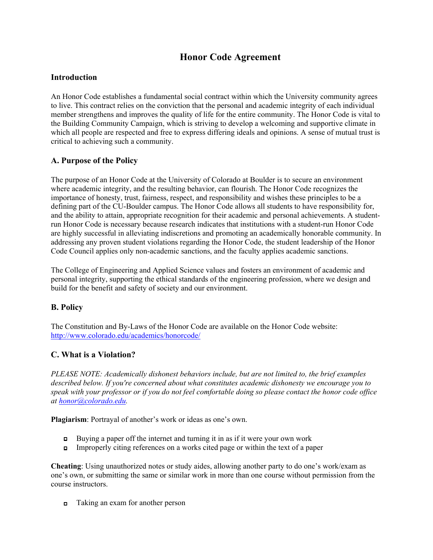# **Honor Code Agreement**

#### **Introduction**

An Honor Code establishes a fundamental social contract within which the University community agrees to live. This contract relies on the conviction that the personal and academic integrity of each individual member strengthens and improves the quality of life for the entire community. The Honor Code is vital to the Building Community Campaign, which is striving to develop a welcoming and supportive climate in which all people are respected and free to express differing ideals and opinions. A sense of mutual trust is critical to achieving such a community.

### **A. Purpose of the Policy**

The purpose of an Honor Code at the University of Colorado at Boulder is to secure an environment where academic integrity, and the resulting behavior, can flourish. The Honor Code recognizes the importance of honesty, trust, fairness, respect, and responsibility and wishes these principles to be a defining part of the CU-Boulder campus. The Honor Code allows all students to have responsibility for, and the ability to attain, appropriate recognition for their academic and personal achievements. A studentrun Honor Code is necessary because research indicates that institutions with a student-run Honor Code are highly successful in alleviating indiscretions and promoting an academically honorable community. In addressing any proven student violations regarding the Honor Code, the student leadership of the Honor Code Council applies only non-academic sanctions, and the faculty applies academic sanctions.

The College of Engineering and Applied Science values and fosters an environment of academic and personal integrity, supporting the ethical standards of the engineering profession, where we design and build for the benefit and safety of society and our environment.

## **B. Policy**

The Constitution and By-Laws of the Honor Code are available on the Honor Code website: http://www.colorado.edu/academics/honorcode/

#### **C. What is a Violation?**

*PLEASE NOTE: Academically dishonest behaviors include, but are not limited to, the brief examples described below. If you're concerned about what constitutes academic dishonesty we encourage you to speak with your professor or if you do not feel comfortable doing so please contact the honor code office at honor@colorado.edu.*

**Plagiarism**: Portrayal of another's work or ideas as one's own.

- Buying a paper off the internet and turning it in as if it were your own work
- Improperly citing references on a works cited page or within the text of a paper

**Cheating**: Using unauthorized notes or study aides, allowing another party to do one's work/exam as one's own, or submitting the same or similar work in more than one course without permission from the course instructors.

□ Taking an exam for another person